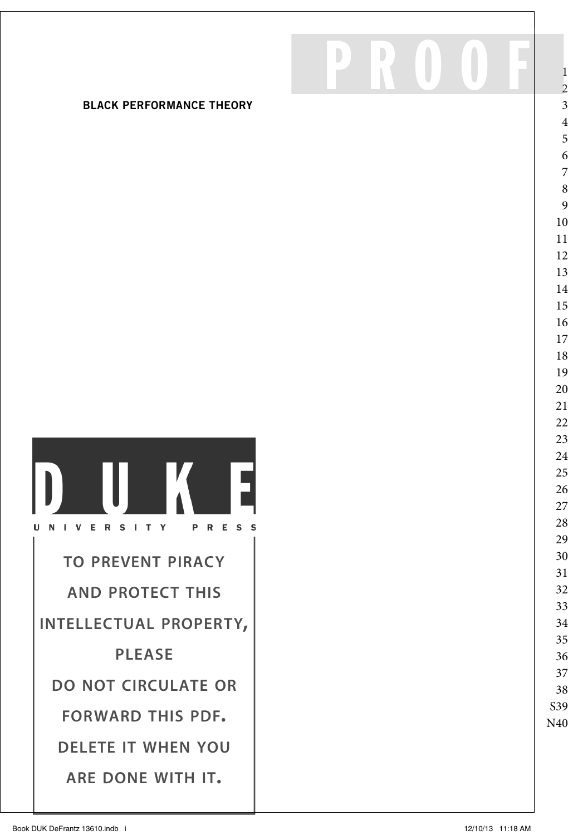### **BLACK PERFORMANCE THEORY**

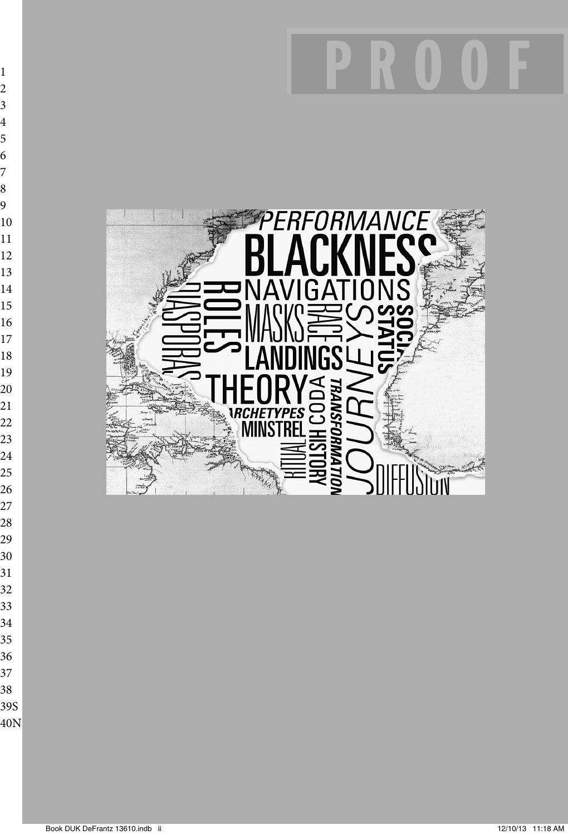

 $\mathbf{1}$  $\overline{c}$  $\overline{\mathbf{3}}$  $\overline{\mathbf{4}}$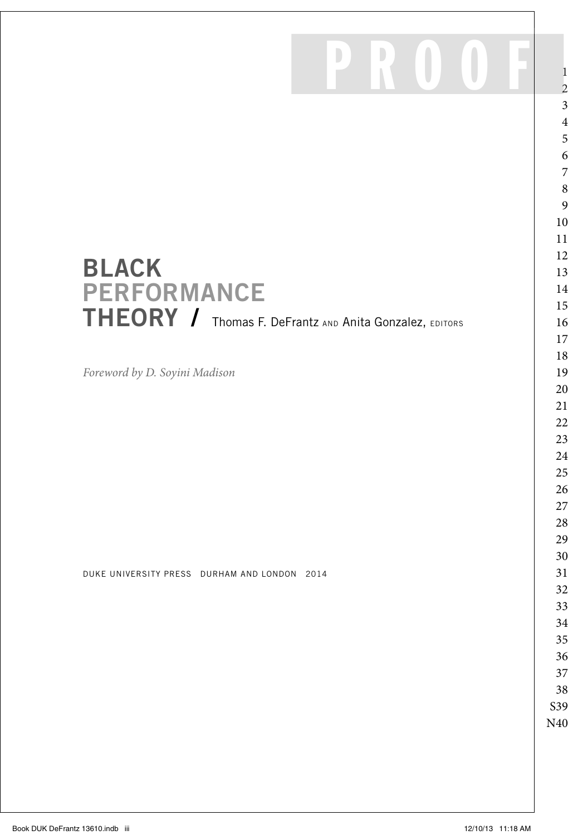### **BLACK PERFORMANCE** THEORY / Thomas F. DeFrantz AND Anita Gonzalez, EDITORS

*Foreword by D. Soyini Madison*

DUKE UNIVERSITY PRESS DURHAM AND LONDON 2014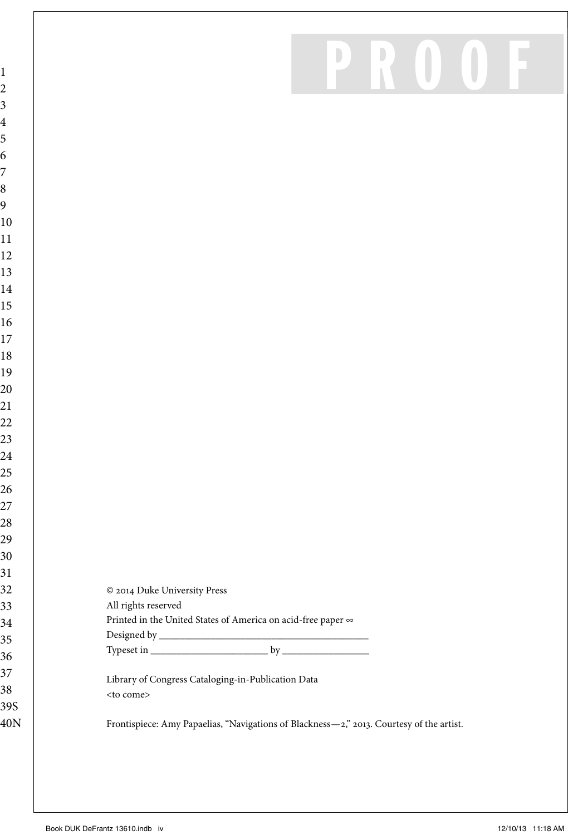|                                                                                                                                                                                                                                                                                                                                                                        |  | $\overline{\phantom{a}}$ | U |
|------------------------------------------------------------------------------------------------------------------------------------------------------------------------------------------------------------------------------------------------------------------------------------------------------------------------------------------------------------------------|--|--------------------------|---|
|                                                                                                                                                                                                                                                                                                                                                                        |  |                          |   |
|                                                                                                                                                                                                                                                                                                                                                                        |  |                          |   |
|                                                                                                                                                                                                                                                                                                                                                                        |  |                          |   |
|                                                                                                                                                                                                                                                                                                                                                                        |  |                          |   |
|                                                                                                                                                                                                                                                                                                                                                                        |  |                          |   |
|                                                                                                                                                                                                                                                                                                                                                                        |  |                          |   |
|                                                                                                                                                                                                                                                                                                                                                                        |  |                          |   |
|                                                                                                                                                                                                                                                                                                                                                                        |  |                          |   |
|                                                                                                                                                                                                                                                                                                                                                                        |  |                          |   |
|                                                                                                                                                                                                                                                                                                                                                                        |  |                          |   |
|                                                                                                                                                                                                                                                                                                                                                                        |  |                          |   |
|                                                                                                                                                                                                                                                                                                                                                                        |  |                          |   |
|                                                                                                                                                                                                                                                                                                                                                                        |  |                          |   |
|                                                                                                                                                                                                                                                                                                                                                                        |  |                          |   |
|                                                                                                                                                                                                                                                                                                                                                                        |  |                          |   |
|                                                                                                                                                                                                                                                                                                                                                                        |  |                          |   |
|                                                                                                                                                                                                                                                                                                                                                                        |  |                          |   |
|                                                                                                                                                                                                                                                                                                                                                                        |  |                          |   |
|                                                                                                                                                                                                                                                                                                                                                                        |  |                          |   |
|                                                                                                                                                                                                                                                                                                                                                                        |  |                          |   |
|                                                                                                                                                                                                                                                                                                                                                                        |  |                          |   |
|                                                                                                                                                                                                                                                                                                                                                                        |  |                          |   |
|                                                                                                                                                                                                                                                                                                                                                                        |  |                          |   |
|                                                                                                                                                                                                                                                                                                                                                                        |  |                          |   |
|                                                                                                                                                                                                                                                                                                                                                                        |  |                          |   |
| © 2014 Duke University Press                                                                                                                                                                                                                                                                                                                                           |  |                          |   |
| All rights reserved                                                                                                                                                                                                                                                                                                                                                    |  |                          |   |
| Printed in the United States of America on acid-free paper $\infty$                                                                                                                                                                                                                                                                                                    |  |                          |   |
| $\begin{tabular}{l} Designed by \begin{tabular}{p{3cm}p{3cm}p{3cm}p{3cm}p{3cm}} \hline \rule[0.2em]{0.2em}{0.003em}\\ \rule[0.2em]{0.2em}{0.003em}\\ \rule[0.2em]{0.2em}{0.003em}\\ \rule[0.2em]{0.2em}{0.003em}\\ \rule[0.2em]{0.2em}{0.003em}\\ \rule[0.2em]{0.2em}{0.003em}\\ \rule[0.2em]{0.2em}{0.003em}\\ \rule[0.2em]{0.2em}{0.003em}\\ \rule[0.2em]{0.2em}{0.$ |  |                          |   |
|                                                                                                                                                                                                                                                                                                                                                                        |  |                          |   |
| Library of Congress Cataloging-in-Publication Data                                                                                                                                                                                                                                                                                                                     |  |                          |   |
| <to come=""></to>                                                                                                                                                                                                                                                                                                                                                      |  |                          |   |
| Frontispiece: Amy Papaelias, "Navigations of Blackness-2," 2013. Courtesy of the artist.                                                                                                                                                                                                                                                                               |  |                          |   |
|                                                                                                                                                                                                                                                                                                                                                                        |  |                          |   |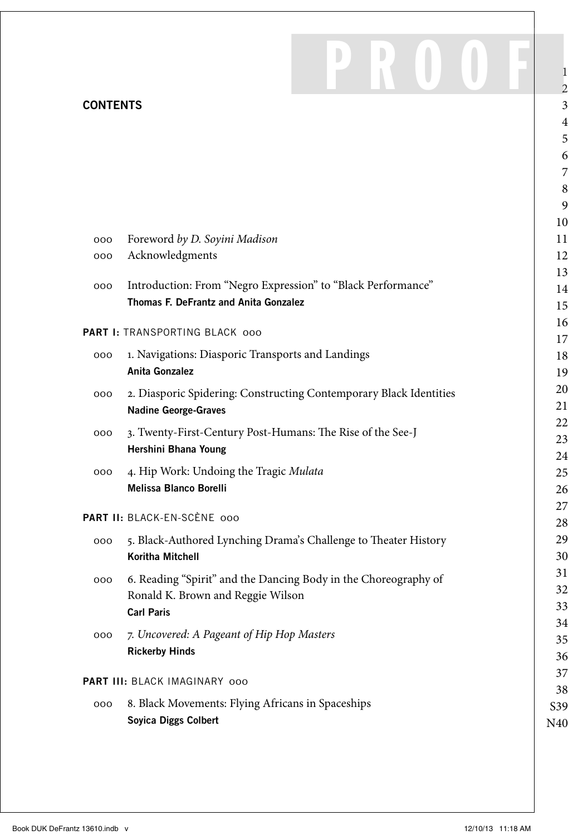### **CONTENTS**

|                                      |                                                                                                       | 10             |
|--------------------------------------|-------------------------------------------------------------------------------------------------------|----------------|
| 000                                  | Foreword by D. Soyini Madison                                                                         | 11             |
| 000                                  | Acknowledgments                                                                                       | 12             |
| 000                                  | Introduction: From "Negro Expression" to "Black Performance"<br>Thomas F. DeFrantz and Anita Gonzalez | 13<br>14<br>15 |
|                                      | <b>PART I: TRANSPORTING BLACK 000</b>                                                                 | 16<br>17       |
| 000                                  | 1. Navigations: Diasporic Transports and Landings<br><b>Anita Gonzalez</b>                            | 18<br>19       |
| 000                                  | 2. Diasporic Spidering: Constructing Contemporary Black Identities<br><b>Nadine George-Graves</b>     | 20<br>21       |
| 000                                  | 3. Twenty-First-Century Post-Humans: The Rise of the See-J<br>Hershini Bhana Young                    | 22<br>23       |
| 000                                  | 4. Hip Work: Undoing the Tragic Mulata<br><b>Melissa Blanco Borelli</b>                               | 24<br>25<br>26 |
|                                      | PART II: BLACK-EN-SCÈNE 000                                                                           | 27<br>28       |
| 000                                  | 5. Black-Authored Lynching Drama's Challenge to Theater History<br><b>Koritha Mitchell</b>            | 29<br>30       |
| 000                                  | 6. Reading "Spirit" and the Dancing Body in the Choreography of<br>Ronald K. Brown and Reggie Wilson  | 31<br>32       |
|                                      | <b>Carl Paris</b>                                                                                     | 33<br>34       |
| 000                                  | 7. Uncovered: A Pageant of Hip Hop Masters<br><b>Rickerby Hinds</b>                                   | 35<br>36       |
| <b>PART III: BLACK IMAGINARY 000</b> |                                                                                                       | 37<br>38       |
| 000                                  | 8. Black Movements: Flying Africans in Spaceships<br><b>Soyica Diggs Colbert</b>                      | S39<br>N40     |
|                                      |                                                                                                       |                |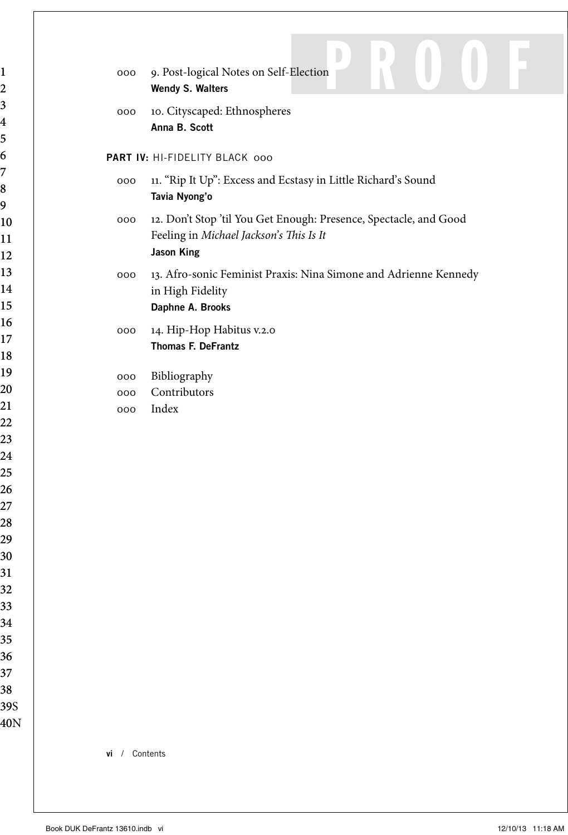| 1<br>$\overline{\mathbf{c}}$       | 000           | 9. Post-logical Notes on Self-Election<br>Wendy S. Walters                                               |
|------------------------------------|---------------|----------------------------------------------------------------------------------------------------------|
| 3<br>4<br>5                        | 000           | 10. Cityscaped: Ethnospheres<br>Anna B. Scott                                                            |
| 6<br>7                             | 000           | PART IV: HI-FIDELITY BLACK 000<br>11. "Rip It Up": Excess and Ecstasy in Little Richard's Sound          |
| 8<br>9                             | 000           | Tavia Nyong'o<br>12. Don't Stop 'til You Get Enough: Presence, Spectacle, and Good                       |
| 10<br>11<br>12                     |               | Feeling in Michael Jackson's This Is It<br>Jason King                                                    |
| 13<br>14<br>15                     | 000           | 13. Afro-sonic Feminist Praxis: Nina Simone and Adrienne Kennedy<br>in High Fidelity<br>Daphne A. Brooks |
| 16<br>17<br>18                     | 000           | 14. Hip-Hop Habitus v.2.0<br>Thomas F. DeFrantz                                                          |
| 19<br>20                           | 000<br>000    | Bibliography<br>Contributors                                                                             |
| 21<br>22<br>23                     | 000           | Index                                                                                                    |
| 24<br>25                           |               |                                                                                                          |
| 26<br>27                           |               |                                                                                                          |
| 28<br>29<br>30                     |               |                                                                                                          |
| 31<br>32                           |               |                                                                                                          |
| 33<br>34                           |               |                                                                                                          |
| 35<br>36                           |               |                                                                                                          |
| 37<br>38<br>39S<br>40 <sub>N</sub> |               |                                                                                                          |
|                                    | vi / Contents |                                                                                                          |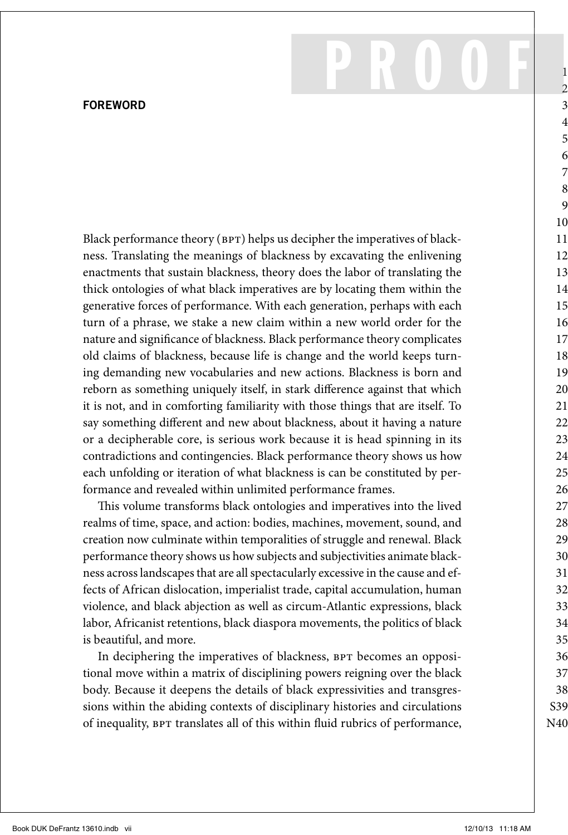### **FOREWORD**

Black performance theory (BPT) helps us decipher the imperatives of blackness. Translating the meanings of blackness by excavating the enlivening enactments that sustain blackness, theory does the labor of translating the thick ontologies of what black imperatives are by locating them within the generative forces of performance. With each generation, perhaps with each turn of a phrase, we stake a new claim within a new world order for the nature and significance of blackness. Black performance theory complicates old claims of blackness, because life is change and the world keeps turning demanding new vocabularies and new actions. Blackness is born and reborn as something uniquely itself, in stark difference against that which it is not, and in comforting familiarity with those things that are itself. To say something different and new about blackness, about it having a nature or a decipherable core, is serious work because it is head spinning in its contradictions and contingencies. Black performance theory shows us how each unfolding or iteration of what blackness is can be constituted by performance and revealed within unlimited performance frames.

This volume transforms black ontologies and imperatives into the lived realms of time, space, and action: bodies, machines, movement, sound, and creation now culminate within temporalities of struggle and renewal. Black performance theory shows us how subjects and subjectivities animate blackness across landscapes that are all spectacularly excessive in the cause and effects of African dislocation, imperialist trade, capital accumulation, human violence, and black abjection as well as circum- Atlantic expressions, black labor, Africanist retentions, black diaspora movements, the politics of black is beautiful, and more.

In deciphering the imperatives of blackness, BPT becomes an oppositional move within a matrix of disciplining powers reigning over the black body. Because it deepens the details of black expressivities and transgressions within the abiding contexts of disciplinary histories and circulations of inequality, BPT translates all of this within fluid rubrics of performance,

P R O O F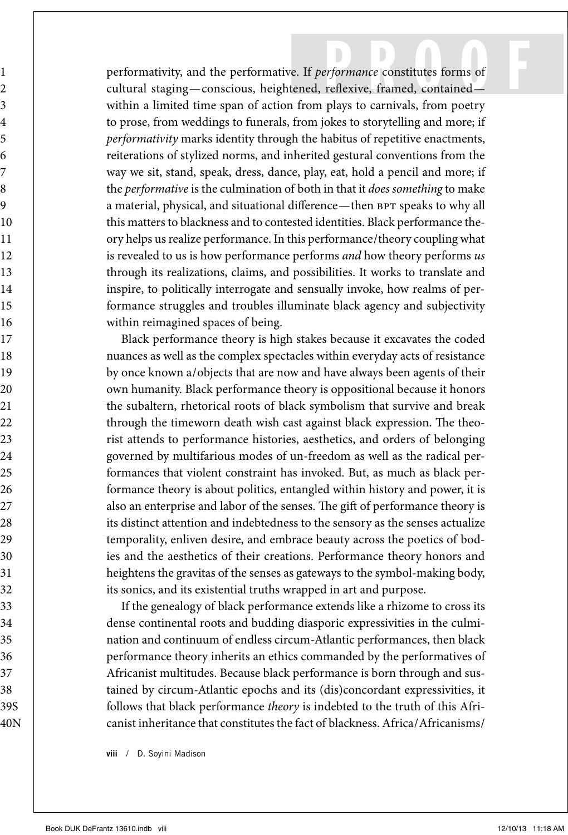performativity, and the performative. If *performance* constitutes forms of cultural staging—conscious, heightened, reflexive, framed, contained within a limited time span of action from plays to carnivals, from poetry to prose, from weddings to funerals, from jokes to storytelling and more; if *performativity* marks identity through the habitus of repetitive enactments, reiterations of stylized norms, and inherited gestural conventions from the way we sit, stand, speak, dress, dance, play, eat, hold a pencil and more; if the *performative* is the culmination of both in that it *does something* to make a material, physical, and situational difference—then BPT speaks to why all this matters to blackness and to contested identities. Black performance theory helps us realize performance. In this performance / theory coupling what is revealed to us is how performance performs *and* how theory performs *us* through its realizations, claims, and possibilities. It works to translate and inspire, to politically interrogate and sensually invoke, how realms of performance struggles and troubles illuminate black agency and subjectivity within reimagined spaces of being. Proformance constitutes forms of<br>Preflexive, framed, contained

Black performance theory is high stakes because it excavates the coded nuances as well as the complex spectacles within everyday acts of resistance by once known a/objects that are now and have always been agents of their own humanity. Black performance theory is oppositional because it honors the subaltern, rhetorical roots of black symbolism that survive and break through the timeworn death wish cast against black expression. The theorist attends to performance histories, aesthetics, and orders of belonging governed by multifarious modes of un- freedom as well as the radical performances that violent constraint has invoked. But, as much as black performance theory is about politics, entangled within history and power, it is also an enterprise and labor of the senses. The gift of performance theory is its distinct attention and indebtedness to the sensory as the senses actualize temporality, enliven desire, and embrace beauty across the poetics of bodies and the aesthetics of their creations. Performance theory honors and heightens the gravitas of the senses as gateways to the symbol-making body, its sonics, and its existential truths wrapped in art and purpose.

If the genealogy of black performance extends like a rhizome to cross its dense continental roots and budding diasporic expressivities in the culmination and continuum of endless circum- Atlantic performances, then black performance theory inherits an ethics commanded by the performatives of Africanist multitudes. Because black performance is born through and sustained by circum- Atlantic epochs and its (dis)concordant expressivities, it follows that black performance *theory* is indebted to the truth of this Africanist inheritance that constitutes the fact of blackness. Africa / Africanisms /

**viii** / D. Soyini Madison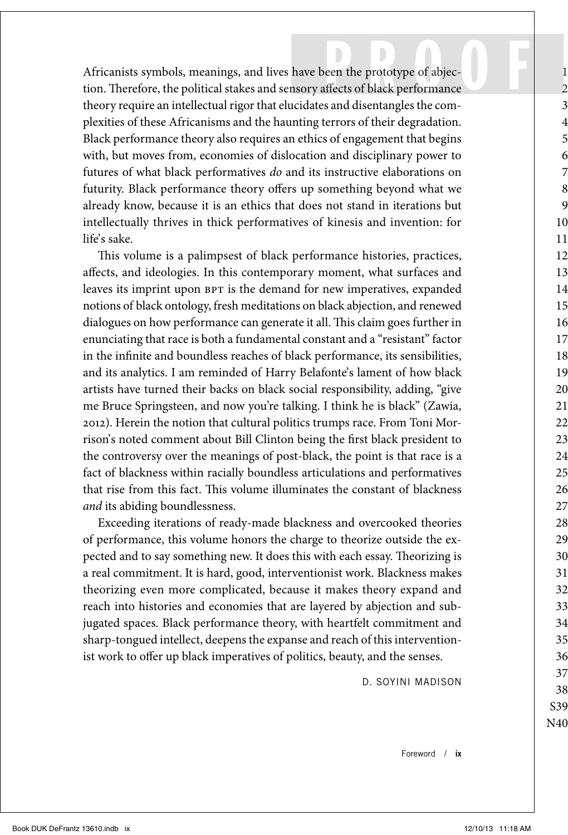Africanists symbols, meanings, and lives have been the prototype of abjection. Therefore, the political stakes and sensory affects of black performance theory require an intellectual rigor that elucidates and disentangles the complexities of these Africanisms and the haunting terrors of their degradation. Black performance theory also requires an ethics of engagement that begins with, but moves from, economies of dislocation and disciplinary power to futures of what black performatives *do* and its instructive elaborations on futurity. Black performance theory offers up something beyond what we already know, because it is an ethics that does not stand in iterations but intellectually thrives in thick performatives of kinesis and invention: for life's sake. een the prototype of abjec-

This volume is a palimpsest of black performance histories, practices, affects, and ideologies. In this contemporary moment, what surfaces and leaves its imprint upon BPT is the demand for new imperatives, expanded notions of black ontology, fresh meditations on black abjection, and renewed dialogues on how performance can generate it all. This claim goes further in enunciating that race is both a fundamental constant and a "resistant" factor in the infinite and boundless reaches of black performance, its sensibilities, and its analytics. I am reminded of Harry Belafonte's lament of how black artists have turned their backs on black social responsibility, adding, "give me Bruce Springsteen, and now you're talking. I think he is black" (Zawia, 2012). Herein the notion that cultural politics trumps race. From Toni Morrison's noted comment about Bill Clinton being the first black president to the controversy over the meanings of post- black, the point is that race is a fact of blackness within racially boundless articulations and performatives that rise from this fact. This volume illuminates the constant of blackness *and* its abiding boundlessness.

Exceeding iterations of ready- made blackness and overcooked theories of performance, this volume honors the charge to theorize outside the expected and to say something new. It does this with each essay. Theorizing is a real commitment. It is hard, good, interventionist work. Blackness makes theorizing even more complicated, because it makes theory expand and reach into histories and economies that are layered by abjection and subjugated spaces. Black performance theory, with heartfelt commitment and sharp-tongued intellect, deepens the expanse and reach of this interventionist work to offer up black imperatives of politics, beauty, and the senses.

D. SOYINI MADISON

Foreword / **ix**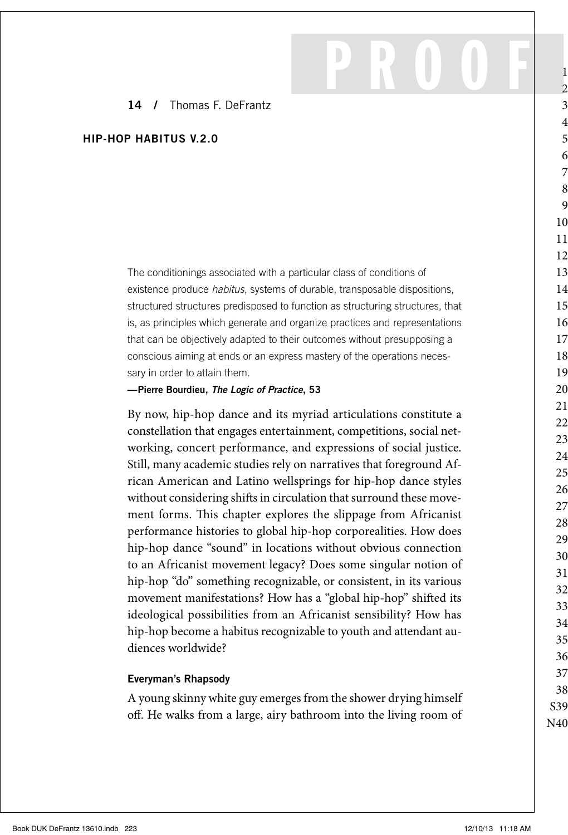### **14 /** Thomas F. DeFrantz

### **HIP- HOP HABITUS V.2.0**

The conditionings associated with a particular class of conditions of existence produce *habitus*, systems of durable, transposable dispositions, structured structures predisposed to function as structuring structures, that is, as principles which generate and organize practices and representations that can be objectively adapted to their outcomes without presupposing a conscious aiming at ends or an express mastery of the operations necessary in order to attain them.

### **—Pierre Bourdieu,** *The Logic of Practice***, 53**

By now, hip-hop dance and its myriad articulations constitute a constellation that engages entertainment, competitions, social networking, concert performance, and expressions of social justice. Still, many academic studies rely on narratives that foreground African American and Latino wellsprings for hip-hop dance styles without considering shifts in circulation that surround these movement forms. This chapter explores the slippage from Africanist performance histories to global hip-hop corporealities. How does hip-hop dance "sound" in locations without obvious connection to an Africanist movement legacy? Does some singular notion of hip-hop "do" something recognizable, or consistent, in its various movement manifestations? How has a "global hip-hop" shifted its ideological possibilities from an Africanist sensibility? How has hip-hop become a habitus recognizable to youth and attendant audiences worldwide?

### **Everyman's Rhapsody**

A young skinny white guy emerges from the shower drying himself off. He walks from a large, airy bathroom into the living room of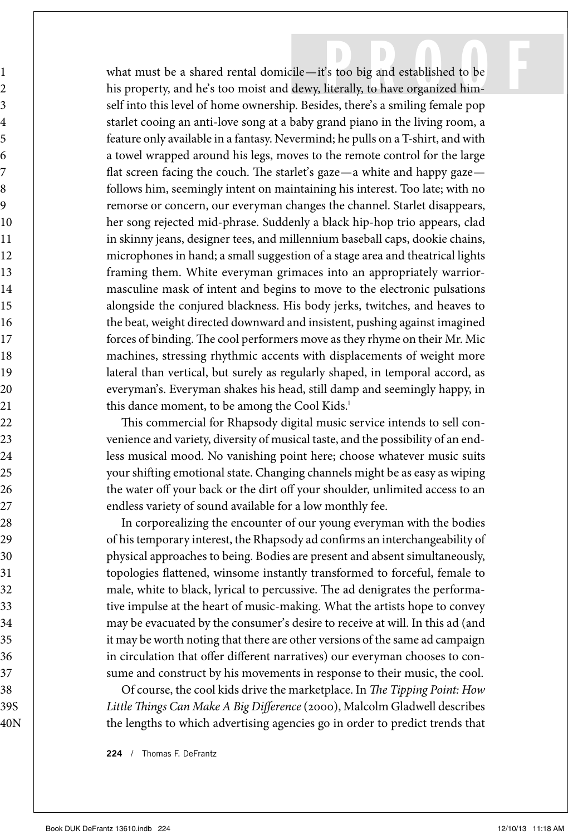what must be a shared rental domicile—it's too big and established to be his property, and he's too moist and dewy, literally, to have organized himself into this level of home ownership. Besides, there's a smiling female pop starlet cooing an anti-love song at a baby grand piano in the living room, a feature only available in a fantasy. Nevermind; he pulls on a T- shirt, and with a towel wrapped around his legs, moves to the remote control for the large flat screen facing the couch. The starlet's gaze—a white and happy gaze follows him, seemingly intent on maintaining his interest. Too late; with no remorse or concern, our everyman changes the channel. Starlet disappears, her song rejected mid-phrase. Suddenly a black hip-hop trio appears, clad in skinny jeans, designer tees, and millennium baseball caps, dookie chains, microphones in hand; a small suggestion of a stage area and theatrical lights framing them. White everyman grimaces into an appropriately warrior masculine mask of intent and begins to move to the electronic pulsations alongside the conjured blackness. His body jerks, twitches, and heaves to the beat, weight directed downward and insistent, pushing against imagined forces of binding. The cool performers move as they rhyme on their Mr. Mic machines, stressing rhythmic accents with displacements of weight more lateral than vertical, but surely as regularly shaped, in temporal accord, as everyman's. Everyman shakes his head, still damp and seemingly happy, in this dance moment, to be among the Cool Kids. extending to be a stablished to be interally, to have organized him-

This commercial for Rhapsody digital music service intends to sell convenience and variety, diversity of musical taste, and the possibility of an endless musical mood. No vanishing point here; choose whatever music suits your shifting emotional state. Changing channels might be as easy as wiping the water off your back or the dirt off your shoulder, unlimited access to an endless variety of sound available for a low monthly fee.

In corporealizing the encounter of our young everyman with the bodies of his temporary interest, the Rhapsody ad confirms an interchangeability of physical approaches to being. Bodies are present and absent simultaneously, topologies flattened, winsome instantly transformed to forceful, female to male, white to black, lyrical to percussive. The ad denigrates the performative impulse at the heart of music- making. What the artists hope to convey may be evacuated by the consumer's desire to receive at will. In this ad (and it may be worth noting that there are other versions of the same ad campaign in circulation that offer different narratives) our everyman chooses to consume and construct by his movements in response to their music, the cool.

Of course, the cool kids drive the marketplace. In *The Tipping Point: How* Little Things Can Make A Big Difference (2000), Malcolm Gladwell describes the lengths to which advertising agencies go in order to predict trends that

**224** / Thomas F. DeFrantz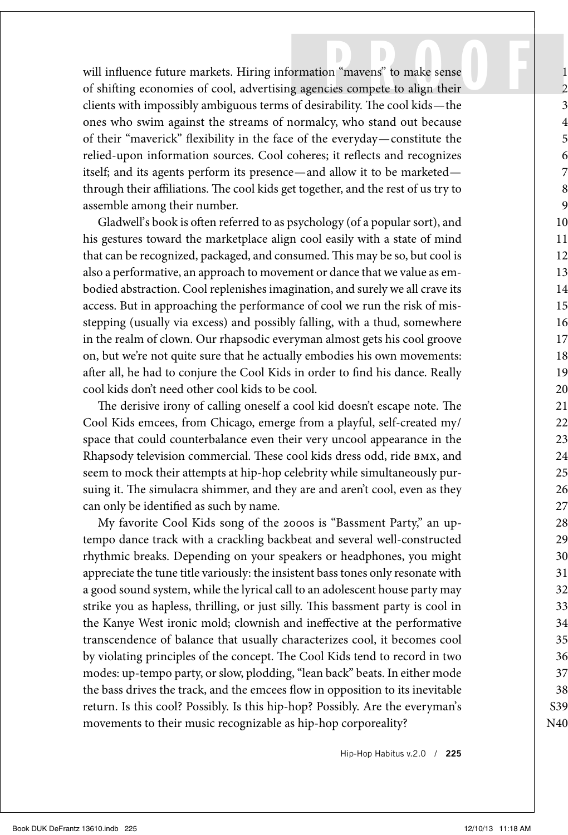will influence future markets. Hiring information "mavens" to make sense of shifting economies of cool, advertising agencies compete to align their clients with impossibly ambiguous terms of desirability. The cool kids—the ones who swim against the streams of normalcy, who stand out because of their "maverick" flexibility in the face of the everyday—constitute the relied-upon information sources. Cool coheres; it reflects and recognizes itself; and its agents perform its presence—and allow it to be marketed through their affiliations. The cool kids get together, and the rest of us try to assemble among their number. on "mavens" to make sense<br>cies compete to align their

Gladwell's book is often referred to as psychology (of a popular sort), and his gestures toward the marketplace align cool easily with a state of mind that can be recognized, packaged, and consumed. This may be so, but cool is also a performative, an approach to movement or dance that we value as embodied abstraction. Cool replenishes imagination, and surely we all crave its access. But in approaching the performance of cool we run the risk of misstepping (usually via excess) and possibly falling, with a thud, somewhere in the realm of clown. Our rhapsodic everyman almost gets his cool groove on, but we're not quite sure that he actually embodies his own movements: after all, he had to conjure the Cool Kids in order to find his dance. Really cool kids don't need other cool kids to be cool.

The derisive irony of calling oneself a cool kid doesn't escape note. The Cool Kids emcees, from Chicago, emerge from a playful, self-created my/ space that could counterbalance even their very uncool appearance in the Rhapsody television commercial. These cool kids dress odd, ride BMX, and seem to mock their attempts at hip-hop celebrity while simultaneously pursuing it. The simulacra shimmer, and they are and aren't cool, even as they can only be identified as such by name.

My favorite Cool Kids song of the 2000s is "Bassment Party," an uptempo dance track with a crackling backbeat and several well- constructed rhythmic breaks. Depending on your speakers or headphones, you might appreciate the tune title variously: the insistent bass tones only resonate with a good sound system, while the lyrical call to an adolescent house party may strike you as hapless, thrilling, or just silly. This bassment party is cool in the Kanye West ironic mold; clownish and ineffective at the performative transcendence of balance that usually characterizes cool, it becomes cool by violating principles of the concept. The Cool Kids tend to record in two modes: up- tempo party, or slow, plodding, "lean back" beats. In either mode the bass drives the track, and the emcees flow in opposition to its inevitable return. Is this cool? Possibly. Is this hip-hop? Possibly. Are the everyman's movements to their music recognizable as hip-hop corporeality?

Hip- Hop Habitus v.2.0 / **225**

N40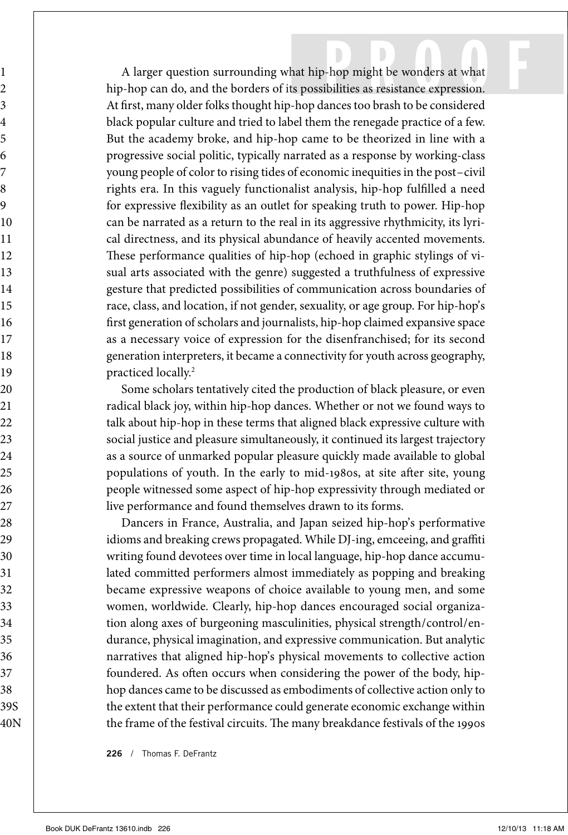A larger question surrounding what hip-hop might be wonders at what hip-hop can do, and the borders of its possibilities as resistance expression. At first, many older folks thought hip-hop dances too brash to be considered black popular culture and tried to label them the renegade practice of a few. But the academy broke, and hip-hop came to be theorized in line with a progressive social politic, typically narrated as a response by working- class young people of color to rising tides of economic inequities in the post–civil rights era. In this vaguely functionalist analysis, hip-hop fulfilled a need for expressive flexibility as an outlet for speaking truth to power. Hip-hop can be narrated as a return to the real in its aggressive rhythmicity, its lyrical directness, and its physical abundance of heavily accented movements. These performance qualities of hip-hop (echoed in graphic stylings of visual arts associated with the genre) suggested a truthfulness of expressive gesture that predicted possibilities of communication across boundaries of race, class, and location, if not gender, sexuality, or age group. For hip-hop's first generation of scholars and journalists, hip-hop claimed expansive space as a necessary voice of expression for the disenfranchised; for its second generation interpreters, it became a connectivity for youth across geography, practiced locally. -hop might be wonders at what<br>ibilities as resistance expression.

Some scholars tentatively cited the production of black pleasure, or even radical black joy, within hip-hop dances. Whether or not we found ways to talk about hip-hop in these terms that aligned black expressive culture with social justice and pleasure simultaneously, it continued its largest trajectory as a source of unmarked popular pleasure quickly made available to global populations of youth. In the early to mid-1980s, at site after site, young people witnessed some aspect of hip-hop expressivity through mediated or live performance and found themselves drawn to its forms.

Dancers in France, Australia, and Japan seized hip-hop's performative idioms and breaking crews propagated. While DJ-ing, emceeing, and graffiti writing found devotees over time in local language, hip-hop dance accumulated committed performers almost immediately as popping and breaking became expressive weapons of choice available to young men, and some women, worldwide. Clearly, hip-hop dances encouraged social organization along axes of burgeoning masculinities, physical strength/control/endurance, physical imagination, and expressive communication. But analytic narratives that aligned hip-hop's physical movements to collective action foundered. As often occurs when considering the power of the body, hiphop dances came to be discussed as embodiments of collective action only to the extent that their performance could generate economic exchange within the frame of the festival circuits. The many breakdance festivals of the 1990s

**226** / Thomas F. DeFrantz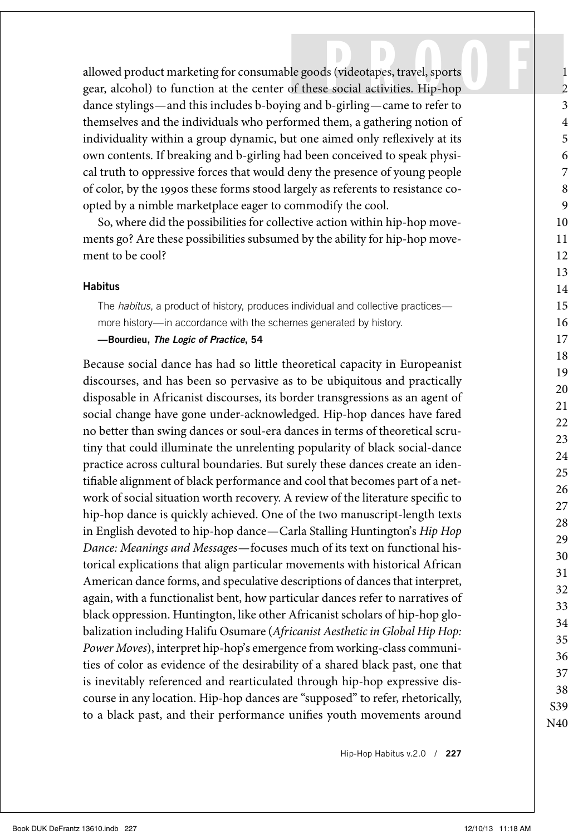allowed product marketing for consumable goods (videotapes, travel, sports allowed product marketing for consumable goods (videotapes, travel, sports gear, alcohol) to function at the center of these social activities. Hip-hop dance stylings—and this includes b- boying and b- girling—came to refer to themselves and the individuals who performed them, a gathering notion of individuality within a group dynamic, but one aimed only reflexively at its own contents. If breaking and b- girling had been conceived to speak physical truth to oppressive forces that would deny the presence of young people of color, by the 1990s these forms stood largely as referents to resistance coopted by a nimble marketplace eager to commodify the cool.

So, where did the possibilities for collective action within hip-hop movements go? Are these possibilities subsumed by the ability for hip-hop movement to be cool?

### **Habitus**

The *habitus*, a product of history, produces individual and collective practices more history—in accordance with the schemes generated by history.

**—Bourdieu,** *The Logic of Practice***, 54**

Because social dance has had so little theoretical capacity in Europeanist discourses, and has been so pervasive as to be ubiquitous and practically disposable in Africanist discourses, its border transgressions as an agent of social change have gone under-acknowledged. Hip-hop dances have fared no better than swing dances or soul- era dances in terms of theoretical scrutiny that could illuminate the unrelenting popularity of black social- dance practice across cultural boundaries. But surely these dances create an identifiable alignment of black performance and cool that becomes part of a network of social situation worth recovery. A review of the literature specific to hip-hop dance is quickly achieved. One of the two manuscript-length texts in English devoted to hip-hop dance—Carla Stalling Huntington's *Hip Hop Dance: Meanings and Messages*—focuses much of its text on functional historical explications that align particular movements with historical African American dance forms, and speculative descriptions of dances that interpret, again, with a functionalist bent, how particular dances refer to narratives of black oppression. Huntington, like other Africanist scholars of hip-hop globalization including Halifu Osumare (*Africanist Aesthetic in Global Hip Hop:*  Power Moves), interpret hip-hop's emergence from working-class communities of color as evidence of the desirability of a shared black past, one that is inevitably referenced and rearticulated through hip-hop expressive discourse in any location. Hip-hop dances are "supposed" to refer, rhetorically, to a black past, and their performance unifies youth movements around

Hip- Hop Habitus v.2.0 / **227**

N40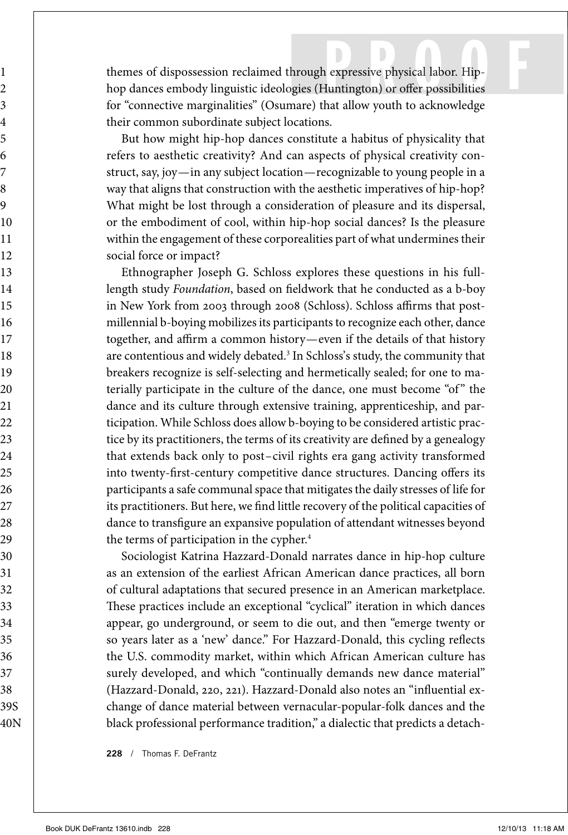themes of dispossession reclaimed through expressive physical labor. Hipthemes of dispossession reclaimed through expressive physical labor. Hiphop dances embody linguistic ideologies (Huntington) or offer possibilities for "connective marginalities" (Osumare) that allow youth to acknowledge their common subordinate subject locations.

But how might hip-hop dances constitute a habitus of physicality that refers to aesthetic creativity? And can aspects of physical creativity construct, say, joy—in any subject location—recognizable to young people in a way that aligns that construction with the aesthetic imperatives of hip-hop? What might be lost through a consideration of pleasure and its dispersal, or the embodiment of cool, within hip- hop social dances? Is the pleasure within the engagement of these corporealities part of what undermines their social force or impact?

Ethnographer Joseph G. Schloss explores these questions in his fulllength study *Foundation*, based on fieldwork that he conducted as a b-boy in New York from 2003 through 2008 (Schloss). Schloss affirms that postmillennial b- boying mobilizes its participants to recognize each other, dance together, and affirm a common history—even if the details of that history are contentious and widely debated.<sup>3</sup> In Schloss's study, the community that breakers recognize is self- selecting and hermetically sealed; for one to materially participate in the culture of the dance, one must become "of" the dance and its culture through extensive training, apprenticeship, and participation. While Schloss does allow b- boying to be considered artistic practice by its practitioners, the terms of its creativity are defined by a genealogy that extends back only to post–civil rights era gang activity transformed into twenty-first-century competitive dance structures. Dancing offers its participants a safe communal space that mitigates the daily stresses of life for its practitioners. But here, we find little recovery of the political capacities of dance to transfigure an expansive population of attendant witnesses beyond the terms of participation in the cypher.

Sociologist Katrina Hazzard-Donald narrates dance in hip-hop culture as an extension of the earliest African American dance practices, all born of cultural adaptations that secured presence in an American marketplace. These practices include an exceptional "cyclical" iteration in which dances appear, go underground, or seem to die out, and then "emerge twenty or so years later as a 'new' dance." For Hazzard-Donald, this cycling reflects the U.S. commodity market, within which African American culture has surely developed, and which "continually demands new dance material" (Hazzard-Donald, 220, 221). Hazzard-Donald also notes an "influential exchange of dance material between vernacular- popular- folk dances and the black professional performance tradition," a dialectic that predicts a detach-

**228** / Thomas F. DeFrantz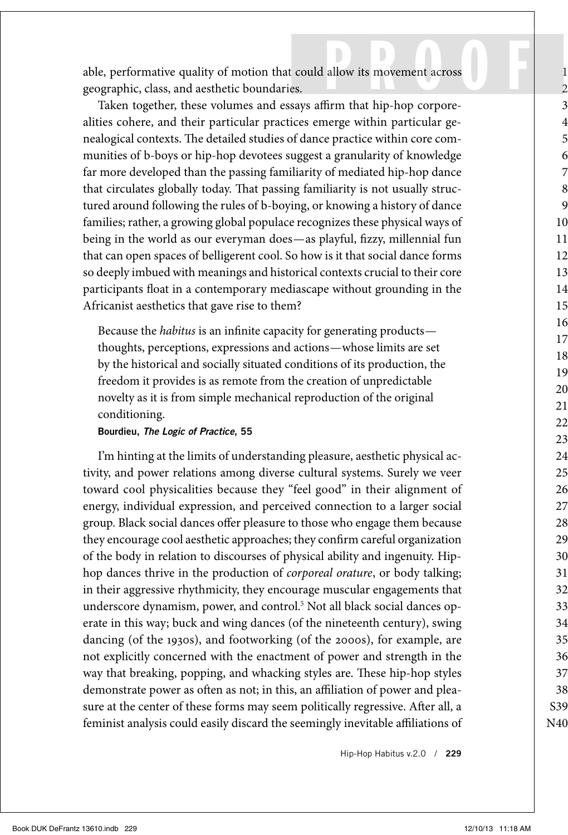able, performative quality of motion that could allow its movement across geographic, class, and aesthetic boundaries. allow its movement across

Taken together, these volumes and essays affirm that hip-hop corporealities cohere, and their particular practices emerge within particular genealogical contexts. The detailed studies of dance practice within core communities of b-boys or hip-hop devotees suggest a granularity of knowledge far more developed than the passing familiarity of mediated hip-hop dance that circulates globally today. That passing familiarity is not usually structured around following the rules of b- boying, or knowing a history of dance families; rather, a growing global populace recognizes these physical ways of being in the world as our everyman does—as playful, fizzy, millennial fun that can open spaces of belligerent cool. So how is it that social dance forms so deeply imbued with meanings and historical contexts crucial to their core participants float in a contemporary mediascape without grounding in the Africanist aesthetics that gave rise to them?

Because the *habitus* is an infinite capacity for generating products thoughts, perceptions, expressions and actions—whose limits are set by the historical and socially situated conditions of its production, the freedom it provides is as remote from the creation of unpredictable novelty as it is from simple mechanical reproduction of the original conditioning.

### **Bourdieu,** *The Logic of Practice***, 55**

I'm hinting at the limits of understanding pleasure, aesthetic physical activity, and power relations among diverse cultural systems. Surely we veer toward cool physicalities because they "feel good" in their alignment of energy, individual expression, and perceived connection to a larger social group. Black social dances offer pleasure to those who engage them because they encourage cool aesthetic approaches; they confirm careful organization of the body in relation to discourses of physical ability and ingenuity. Hiphop dances thrive in the production of *corporeal orature*, or body talking; in their aggressive rhythmicity, they encourage muscular engagements that underscore dynamism, power, and control.<sup>5</sup> Not all black social dances operate in this way; buck and wing dances (of the nineteenth century), swing dancing (of the 1930s), and footworking (of the 2000s), for example, are not explicitly concerned with the enactment of power and strength in the way that breaking, popping, and whacking styles are. These hip-hop styles demonstrate power as often as not; in this, an affiliation of power and pleasure at the center of these forms may seem politically regressive. After all, a feminist analysis could easily discard the seemingly inevitable affiliations of

Hip- Hop Habitus v.2.0 / **229**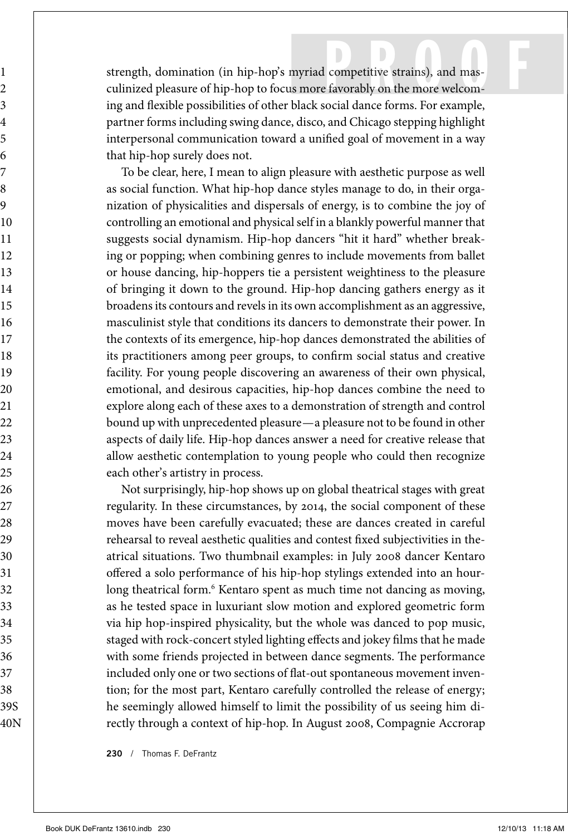strength, domination (in hip- hop's myriad competitive strains), and masculinized pleasure of hip-hop to focus more favorably on the more welcoming and flexible possibilities of other black social dance forms. For example, partner forms including swing dance, disco, and Chicago stepping highlight interpersonal communication toward a unified goal of movement in a way that hip-hop surely does not. competitive strains), and mas-<br>Efavorably on the more welcom-

To be clear, here, I mean to align pleasure with aesthetic purpose as well as social function. What hip-hop dance styles manage to do, in their organization of physicalities and dispersals of energy, is to combine the joy of controlling an emotional and physical self in a blankly powerful manner that suggests social dynamism. Hip-hop dancers "hit it hard" whether breaking or popping; when combining genres to include movements from ballet or house dancing, hip-hoppers tie a persistent weightiness to the pleasure of bringing it down to the ground. Hip- hop dancing gathers energy as it broadens its contours and revels in its own accomplishment as an aggressive, masculinist style that conditions its dancers to demonstrate their power. In the contexts of its emergence, hip-hop dances demonstrated the abilities of its practitioners among peer groups, to confirm social status and creative facility. For young people discovering an awareness of their own physical, emotional, and desirous capacities, hip-hop dances combine the need to explore along each of these axes to a demonstration of strength and control bound up with unprecedented pleasure—a pleasure not to be found in other aspects of daily life. Hip-hop dances answer a need for creative release that allow aesthetic contemplation to young people who could then recognize each other's artistry in process.

Not surprisingly, hip-hop shows up on global theatrical stages with great regularity. In these circumstances, by 2014, the social component of these moves have been carefully evacuated; these are dances created in careful rehearsal to reveal aesthetic qualities and contest fixed subjectivities in theatrical situations. Two thumbnail examples: in July 2008 dancer Kentaro offered a solo performance of his hip-hop stylings extended into an hourlong theatrical form.<sup>6</sup> Kentaro spent as much time not dancing as moving, as he tested space in luxuriant slow motion and explored geometric form via hip hop- inspired physicality, but the whole was danced to pop music, staged with rock-concert styled lighting effects and jokey films that he made with some friends projected in between dance segments. The performance included only one or two sections of flat-out spontaneous movement invention; for the most part, Kentaro carefully controlled the release of energy; he seemingly allowed himself to limit the possibility of us seeing him directly through a context of hip-hop. In August 2008, Compagnie Accrorap

**230** / Thomas F. DeFrantz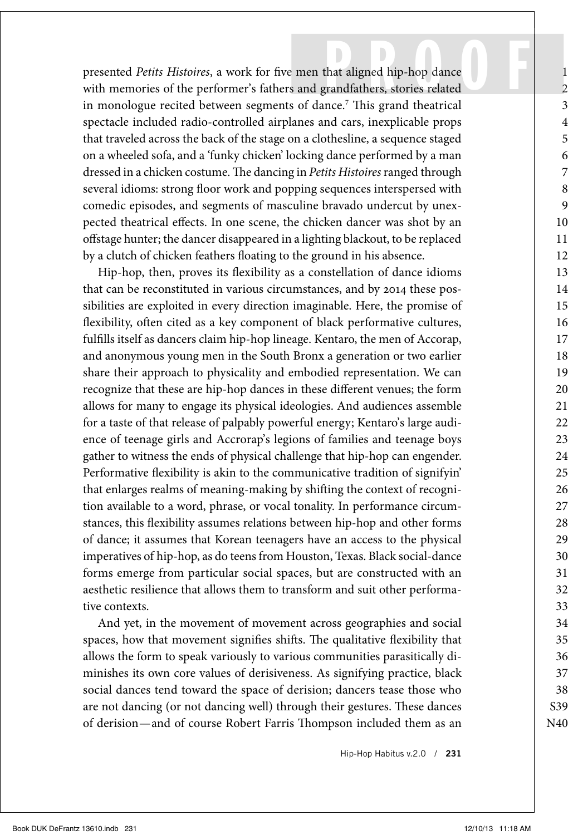presented *Petits Histoires*, a work for five men that aligned hip-hop dance with memories of the performer's fathers and grandfathers, stories related in monologue recited between segments of dance.<sup>7</sup> This grand theatrical spectacle included radio- controlled airplanes and cars, inexplicable props that traveled across the back of the stage on a clothesline, a sequence staged on a wheeled sofa, and a 'funky chicken' locking dance performed by a man dressed in a chicken costume. The dancing in *Petits Histoires* ranged through several idioms: strong floor work and popping sequences interspersed with comedic episodes, and segments of masculine bravado undercut by unexpected theatrical effects. In one scene, the chicken dancer was shot by an offstage hunter; the dancer disappeared in a lighting blackout, to be replaced by a clutch of chicken feathers floating to the ground in his absence. that aligned hip-hop dance

Hip-hop, then, proves its flexibility as a constellation of dance idioms that can be reconstituted in various circumstances, and by 2014 these possibilities are exploited in every direction imaginable. Here, the promise of flexibility, often cited as a key component of black performative cultures, fulfills itself as dancers claim hip-hop lineage. Kentaro, the men of Accorap, and anonymous young men in the South Bronx a generation or two earlier share their approach to physicality and embodied representation. We can recognize that these are hip-hop dances in these different venues; the form allows for many to engage its physical ideologies. And audiences assemble for a taste of that release of palpably powerful energy; Kentaro's large audience of teenage girls and Accrorap's legions of families and teenage boys gather to witness the ends of physical challenge that hip- hop can engender. Performative flexibility is akin to the communicative tradition of signifyin' that enlarges realms of meaning-making by shifting the context of recognition available to a word, phrase, or vocal tonality. In performance circumstances, this flexibility assumes relations between hip-hop and other forms of dance; it assumes that Korean teenagers have an access to the physical imperatives of hip-hop, as do teens from Houston, Texas. Black social-dance forms emerge from particular social spaces, but are constructed with an aesthetic resilience that allows them to transform and suit other performative contexts.

And yet, in the movement of movement across geographies and social spaces, how that movement signifies shifts. The qualitative flexibility that allows the form to speak variously to various communities parasitically diminishes its own core values of derisiveness. As signifying practice, black social dances tend toward the space of derision; dancers tease those who are not dancing (or not dancing well) through their gestures. These dances of derision—and of course Robert Farris Thompson included them as an

Hip- Hop Habitus v.2.0 / **231**

N40

S39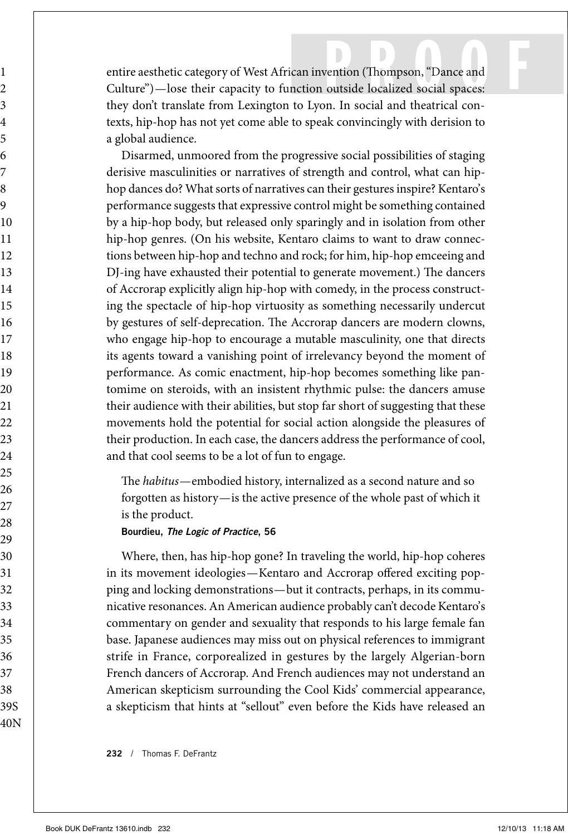entire aesthetic category of West African invention (Thompson, "Dance and Culture")—lose their capacity to function outside localized social spaces: they don't translate from Lexington to Lyon. In social and theatrical contexts, hip- hop has not yet come able to speak convincingly with derision to a global audience. vention (Thompson, "Dance and<br>outside localized social spaces:

Disarmed, unmoored from the progressive social possibilities of staging derisive masculinities or narratives of strength and control, what can hiphop dances do? What sorts of narratives can their gestures inspire? Kentaro's performance suggests that expressive control might be something contained by a hip-hop body, but released only sparingly and in isolation from other hip-hop genres. (On his website, Kentaro claims to want to draw connections between hip-hop and techno and rock; for him, hip-hop emceeing and DJ-ing have exhausted their potential to generate movement.) The dancers of Accrorap explicitly align hip- hop with comedy, in the process constructing the spectacle of hip-hop virtuosity as something necessarily undercut by gestures of self-deprecation. The Accrorap dancers are modern clowns, who engage hip-hop to encourage a mutable masculinity, one that directs its agents toward a vanishing point of irrelevancy beyond the moment of performance. As comic enactment, hip-hop becomes something like pantomime on steroids, with an insistent rhythmic pulse: the dancers amuse their audience with their abilities, but stop far short of suggesting that these movements hold the potential for social action alongside the pleasures of their production. In each case, the dancers address the performance of cool, and that cool seems to be a lot of fun to engage.

The *habitus*—embodied history, internalized as a second nature and so forgotten as history—is the active presence of the whole past of which it is the product.

### **Bourdieu,** *The Logic of Practice***, 56**

Where, then, has hip-hop gone? In traveling the world, hip-hop coheres in its movement ideologies—Kentaro and Accrorap offered exciting popping and locking demonstrations—but it contracts, perhaps, in its communicative resonances. An American audience probably can't decode Kentaro's commentary on gender and sexuality that responds to his large female fan base. Japanese audiences may miss out on physical references to immigrant strife in France, corporealized in gestures by the largely Algerian- born French dancers of Accrorap. And French audiences may not understand an American skepticism surrounding the Cool Kids' commercial appearance, a skepticism that hints at "sellout" even before the Kids have released an

**232** / Thomas F. DeFrantz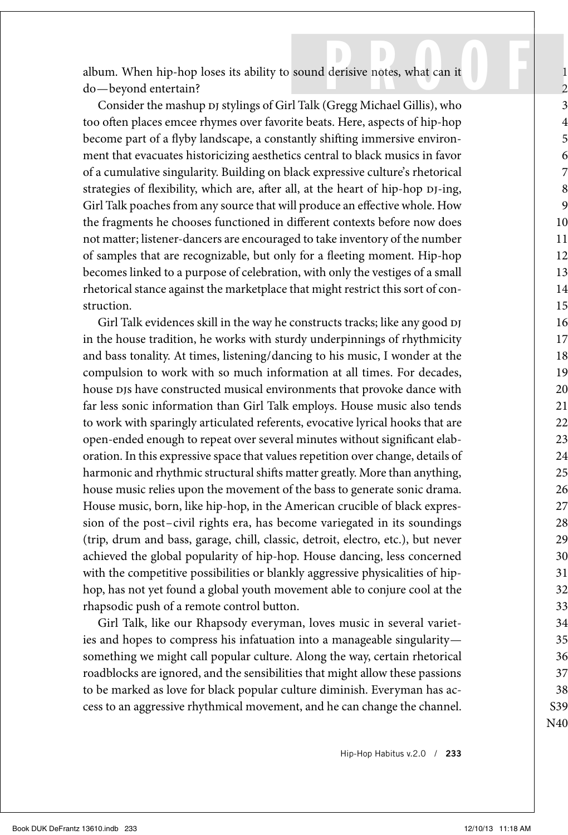album. When hip-hop loses its ability to sound derisive notes, what can it do—beyond entertain? derisive notes, what can it

Consider the mashup DJ stylings of Girl Talk (Gregg Michael Gillis), who too often places emcee rhymes over favorite beats. Here, aspects of hip-hop become part of a flyby landscape, a constantly shifting immersive environment that evacuates historicizing aesthetics central to black musics in favor of a cumulative singularity. Building on black expressive culture's rhetorical strategies of flexibility, which are, after all, at the heart of hip-hop DJ-ing, Girl Talk poaches from any source that will produce an effective whole. How the fragments he chooses functioned in different contexts before now does not matter; listener- dancers are encouraged to take inventory of the number of samples that are recognizable, but only for a fleeting moment. Hip-hop becomes linked to a purpose of celebration, with only the vestiges of a small rhetorical stance against the marketplace that might restrict this sort of construction.

Girl Talk evidences skill in the way he constructs tracks; like any good DJ in the house tradition, he works with sturdy underpinnings of rhythmicity and bass tonality. At times, listening/dancing to his music, I wonder at the compulsion to work with so much information at all times. For decades, house DJs have constructed musical environments that provoke dance with far less sonic information than Girl Talk employs. House music also tends to work with sparingly articulated referents, evocative lyrical hooks that are open-ended enough to repeat over several minutes without significant elaboration. In this expressive space that values repetition over change, details of harmonic and rhythmic structural shifts matter greatly. More than anything, house music relies upon the movement of the bass to generate sonic drama. House music, born, like hip-hop, in the American crucible of black expression of the post–civil rights era, has become variegated in its soundings (trip, drum and bass, garage, chill, classic, detroit, electro, etc.), but never achieved the global popularity of hip-hop. House dancing, less concerned with the competitive possibilities or blankly aggressive physicalities of hiphop, has not yet found a global youth movement able to conjure cool at the rhapsodic push of a remote control button.

Girl Talk, like our Rhapsody everyman, loves music in several varieties and hopes to compress his infatuation into a manageable singularity something we might call popular culture. Along the way, certain rhetorical roadblocks are ignored, and the sensibilities that might allow these passions to be marked as love for black popular culture diminish. Everyman has access to an aggressive rhythmical movement, and he can change the channel.

Hip- Hop Habitus v.2.0 / **233**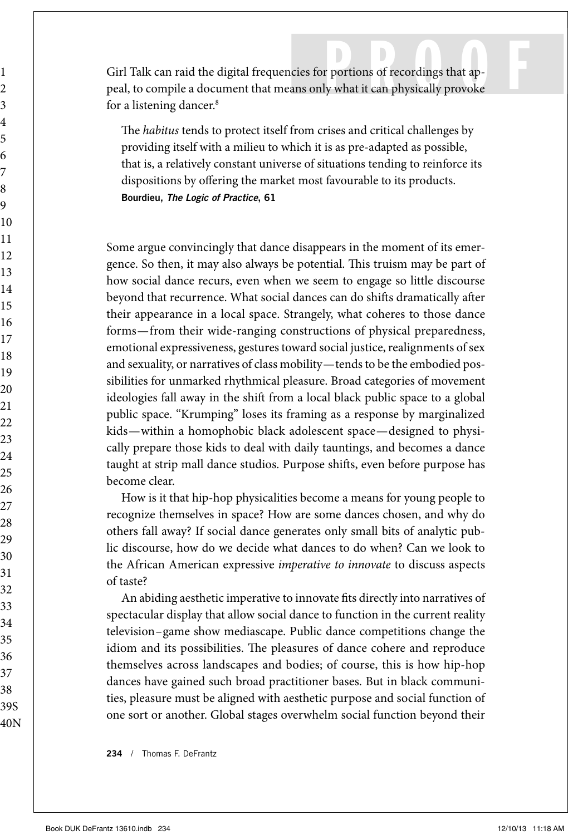Girl Talk can raid the digital frequencies for portions of recordings that ap-Girl Talk can raid the digital frequencies for portions of recordings that appeal, to compile a document that means only what it can physically provoke for a listening dancer.

The *habitus* tends to protect itself from crises and critical challenges by providing itself with a milieu to which it is as pre- adapted as possible, that is, a relatively constant universe of situations tending to reinforce its dispositions by offering the market most favourable to its products. **Bourdieu,** *The Logic of Practice***, 61**

Some argue convincingly that dance disappears in the moment of its emergence. So then, it may also always be potential. This truism may be part of how social dance recurs, even when we seem to engage so little discourse beyond that recurrence. What social dances can do shifts dramatically after their appearance in a local space. Strangely, what coheres to those dance forms—from their wide-ranging constructions of physical preparedness, emotional expressiveness, gestures toward social justice, realignments of sex and sexuality, or narratives of class mobility—tends to be the embodied possibilities for unmarked rhythmical pleasure. Broad categories of movement ideologies fall away in the shift from a local black public space to a global public space. "Krumping" loses its framing as a response by marginalized kids—within a homophobic black adolescent space—designed to physically prepare those kids to deal with daily tauntings, and becomes a dance taught at strip mall dance studios. Purpose shifts, even before purpose has become clear.

How is it that hip-hop physicalities become a means for young people to recognize themselves in space? How are some dances chosen, and why do others fall away? If social dance generates only small bits of analytic public discourse, how do we decide what dances to do when? Can we look to the African American expressive *imperative to innovate* to discuss aspects of taste?

An abiding aesthetic imperative to innovate fits directly into narratives of spectacular display that allow social dance to function in the current reality television–game show mediascape. Public dance competitions change the idiom and its possibilities. The pleasures of dance cohere and reproduce themselves across landscapes and bodies; of course, this is how hip-hop dances have gained such broad practitioner bases. But in black communities, pleasure must be aligned with aesthetic purpose and social function of one sort or another. Global stages overwhelm social function beyond their

**234** / Thomas F. DeFrantz

1 2 3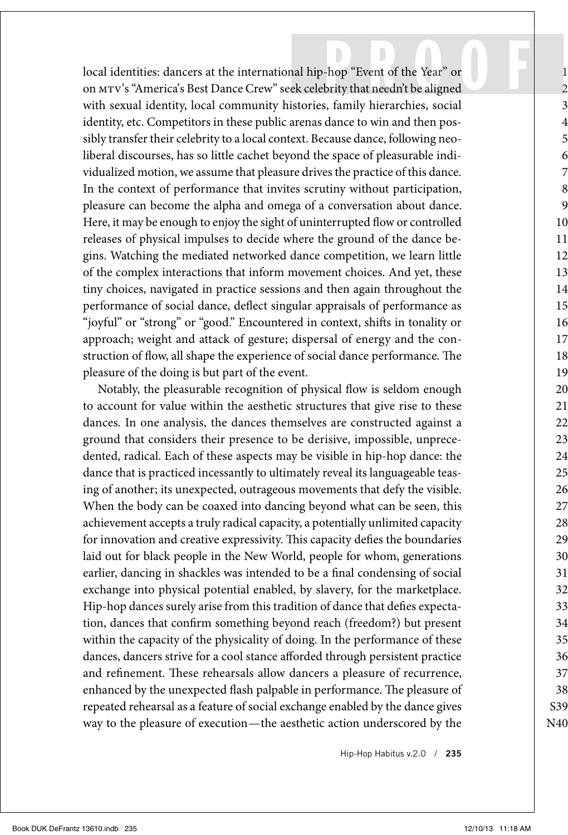local identities: dancers at the international hip-hop "Event of the Year" or local identities: dancers at the international hip-hop "Event of the Year" or<br>on MTV's "America's Best Dance Crew" seek celebrity that needn't be aligned with sexual identity, local community histories, family hierarchies, social identity, etc. Competitors in these public arenas dance to win and then possibly transfer their celebrity to a local context. Because dance, following neoliberal discourses, has so little cachet beyond the space of pleasurable individualized motion, we assume that pleasure drives the practice of this dance. In the context of performance that invites scrutiny without participation, pleasure can become the alpha and omega of a conversation about dance. Here, it may be enough to enjoy the sight of uninterrupted flow or controlled releases of physical impulses to decide where the ground of the dance begins. Watching the mediated networked dance competition, we learn little of the complex interactions that inform movement choices. And yet, these tiny choices, navigated in practice sessions and then again throughout the performance of social dance, deflect singular appraisals of performance as "joyful" or "strong" or "good." Encountered in context, shifts in tonality or approach; weight and attack of gesture; dispersal of energy and the construction of flow, all shape the experience of social dance performance. The pleasure of the doing is but part of the event.

Notably, the pleasurable recognition of physical flow is seldom enough to account for value within the aesthetic structures that give rise to these dances. In one analysis, the dances themselves are constructed against a ground that considers their presence to be derisive, impossible, unprecedented, radical. Each of these aspects may be visible in hip-hop dance: the dance that is practiced incessantly to ultimately reveal its languageable teasing of another; its unexpected, outrageous movements that defy the visible. When the body can be coaxed into dancing beyond what can be seen, this achievement accepts a truly radical capacity, a potentially unlimited capacity for innovation and creative expressivity. This capacity defies the boundaries laid out for black people in the New World, people for whom, generations earlier, dancing in shackles was intended to be a final condensing of social exchange into physical potential enabled, by slavery, for the marketplace. Hip-hop dances surely arise from this tradition of dance that defies expectation, dances that confirm something beyond reach (freedom?) but present within the capacity of the physicality of doing. In the performance of these dances, dancers strive for a cool stance afforded through persistent practice and refinement. These rehearsals allow dancers a pleasure of recurrence, enhanced by the unexpected flash palpable in performance. The pleasure of repeated rehearsal as a feature of social exchange enabled by the dance gives way to the pleasure of execution—the aesthetic action underscored by the

Hip- Hop Habitus v.2.0 / **235**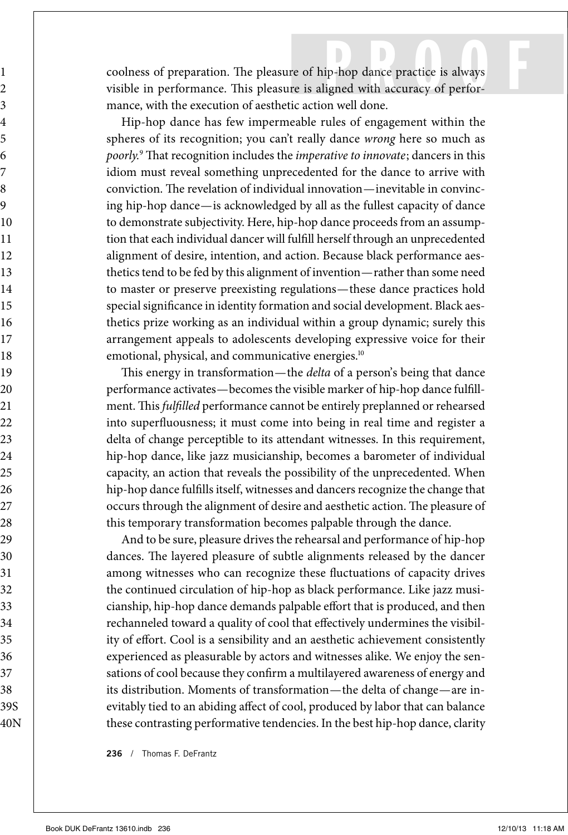coolness of preparation. The pleasure of hip-hop dance practice is always visible in performance. This pleasure is aligned with accuracy of performance, with the execution of aesthetic action well done. ip-hop dance practice is always<br>igned with accuracy of perfor-

Hip- hop dance has few impermeable rules of engagement within the spheres of its recognition; you can't really dance *wrong* here so much as poorly.<sup>9</sup> That recognition includes the *imperative to innovate*; dancers in this idiom must reveal something unprecedented for the dance to arrive with conviction. The revelation of individual innovation—inevitable in convincing hip- hop dance—is acknowledged by all as the fullest capacity of dance to demonstrate subjectivity. Here, hip-hop dance proceeds from an assumption that each individual dancer will fulfill herself through an unprecedented alignment of desire, intention, and action. Because black performance aesthetics tend to be fed by this alignment of invention—rather than some need to master or preserve preexisting regulations—these dance practices hold special significance in identity formation and social development. Black aesthetics prize working as an individual within a group dynamic; surely this arrangement appeals to adolescents developing expressive voice for their emotional, physical, and communicative energies.

This energy in transformation—the *delta* of a person's being that dance performance activates—becomes the visible marker of hip-hop dance fulfillment. This *fulfilled* performance cannot be entirely preplanned or rehearsed into superfluousness; it must come into being in real time and register a delta of change perceptible to its attendant witnesses. In this requirement, hip- hop dance, like jazz musicianship, becomes a barometer of individual capacity, an action that reveals the possibility of the unprecedented. When hip-hop dance fulfills itself, witnesses and dancers recognize the change that occurs through the alignment of desire and aesthetic action. The pleasure of this temporary transformation becomes palpable through the dance.

And to be sure, pleasure drives the rehearsal and performance of hip-hop dances. The layered pleasure of subtle alignments released by the dancer among witnesses who can recognize these fluctuations of capacity drives the continued circulation of hip-hop as black performance. Like jazz musicianship, hip-hop dance demands palpable effort that is produced, and then rechanneled toward a quality of cool that effectively undermines the visibility of effort. Cool is a sensibility and an aesthetic achievement consistently experienced as pleasurable by actors and witnesses alike. We enjoy the sensations of cool because they confirm a multilayered awareness of energy and its distribution. Moments of transformation—the delta of change—are inevitably tied to an abiding affect of cool, produced by labor that can balance these contrasting performative tendencies. In the best hip-hop dance, clarity

**236** / Thomas F. DeFrantz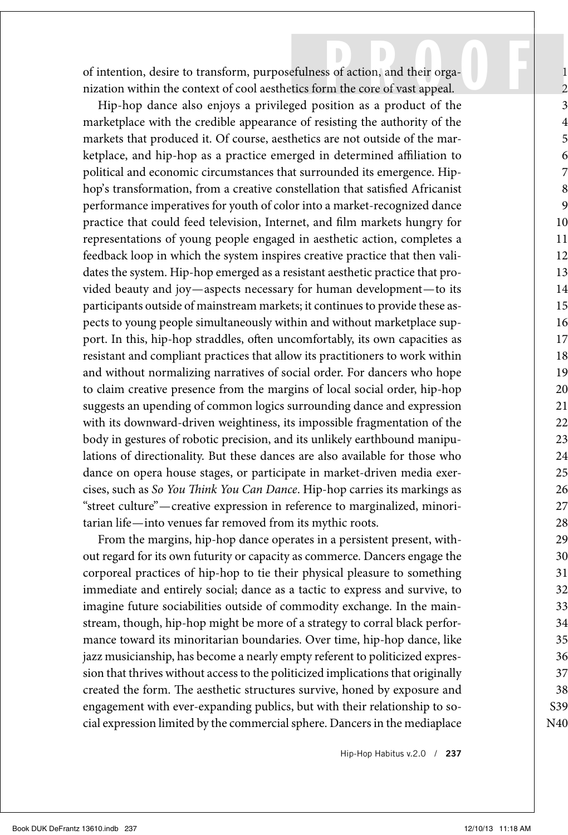of intention, desire to transform, purposefulness of action, and their organization within the context of cool aesthetics form the core of vast appeal. Solved and the Solved Chernal Chernal Chernal Chernal Chernal Chernal Chernal Chernal Chernal Chernal Chernal Chernal Chernal Chernal Chernal Chernal Chernal Chernal Chernal Chernal Chernal Chernal Chernal Chernal Chernal

Hip- hop dance also enjoys a privileged position as a product of the marketplace with the credible appearance of resisting the authority of the markets that produced it. Of course, aesthetics are not outside of the marketplace, and hip-hop as a practice emerged in determined affiliation to political and economic circumstances that surrounded its emergence. Hiphop's transformation, from a creative constellation that satisfied Africanist performance imperatives for youth of color into a market- recognized dance practice that could feed television, Internet, and film markets hungry for representations of young people engaged in aesthetic action, completes a feedback loop in which the system inspires creative practice that then validates the system. Hip-hop emerged as a resistant aesthetic practice that provided beauty and joy—aspects necessary for human development—to its participants outside of mainstream markets; it continues to provide these aspects to young people simultaneously within and without marketplace support. In this, hip-hop straddles, often uncomfortably, its own capacities as resistant and compliant practices that allow its practitioners to work within and without normalizing narratives of social order. For dancers who hope to claim creative presence from the margins of local social order, hip-hop suggests an upending of common logics surrounding dance and expression with its downward- driven weightiness, its impossible fragmentation of the body in gestures of robotic precision, and its unlikely earthbound manipulations of directionality. But these dances are also available for those who dance on opera house stages, or participate in market- driven media exercises, such as *So You Think You Can Dance*. Hip-hop carries its markings as "street culture"—creative expression in reference to marginalized, minoritarian life—into venues far removed from its mythic roots.

From the margins, hip-hop dance operates in a persistent present, without regard for its own futurity or capacity as commerce. Dancers engage the corporeal practices of hip-hop to tie their physical pleasure to something immediate and entirely social; dance as a tactic to express and survive, to imagine future sociabilities outside of commodity exchange. In the mainstream, though, hip-hop might be more of a strategy to corral black performance toward its minoritarian boundaries. Over time, hip-hop dance, like jazz musicianship, has become a nearly empty referent to politicized expression that thrives without access to the politicized implications that originally created the form. The aesthetic structures survive, honed by exposure and engagement with ever-expanding publics, but with their relationship to social expression limited by the commercial sphere. Dancers in the mediaplace

Hip- Hop Habitus v.2.0 / **237**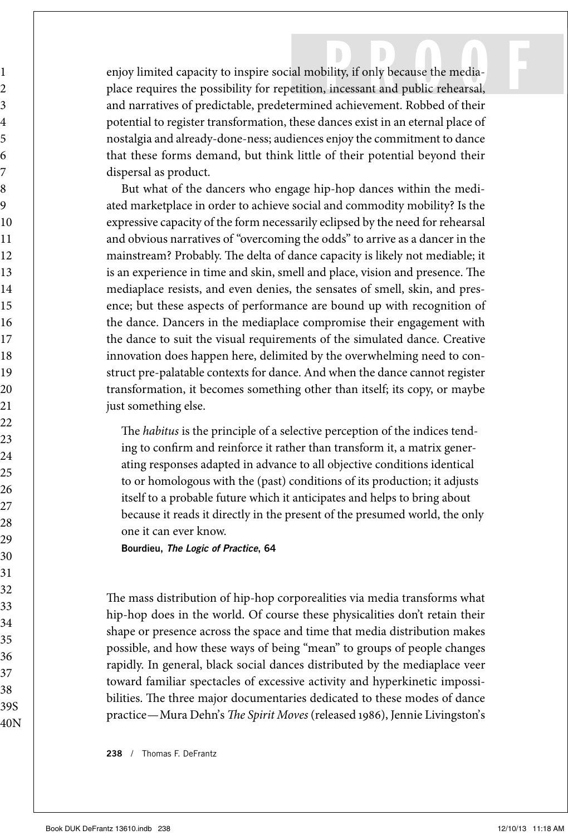enjoy limited capacity to inspire social mobility, if only because the mediaplace requires the possibility for repetition, incessant and public rehearsal, and narratives of predictable, predetermined achievement. Robbed of their potential to register transformation, these dances exist in an eternal place of nostalgia and already- done- ness; audiences enjoy the commitment to dance that these forms demand, but think little of their potential beyond their dispersal as product. by Society if only because the media-<br>
incessant and public rehearsal,

But what of the dancers who engage hip-hop dances within the mediated marketplace in order to achieve social and commodity mobility? Is the expressive capacity of the form necessarily eclipsed by the need for rehearsal and obvious narratives of "overcoming the odds" to arrive as a dancer in the mainstream? Probably. The delta of dance capacity is likely not mediable; it is an experience in time and skin, smell and place, vision and presence. The mediaplace resists, and even denies, the sensates of smell, skin, and presence; but these aspects of performance are bound up with recognition of the dance. Dancers in the mediaplace compromise their engagement with the dance to suit the visual requirements of the simulated dance. Creative innovation does happen here, delimited by the overwhelming need to construct pre- palatable contexts for dance. And when the dance cannot register transformation, it becomes something other than itself; its copy, or maybe just something else.

The *habitus* is the principle of a selective perception of the indices tending to confirm and reinforce it rather than transform it, a matrix generating responses adapted in advance to all objective conditions identical to or homologous with the (past) conditions of its production; it adjusts itself to a probable future which it anticipates and helps to bring about because it reads it directly in the present of the presumed world, the only one it can ever know.

**Bourdieu,** *The Logic of Practice***, 64**

The mass distribution of hip-hop corporealities via media transforms what hip-hop does in the world. Of course these physicalities don't retain their shape or presence across the space and time that media distribution makes possible, and how these ways of being "mean" to groups of people changes rapidly. In general, black social dances distributed by the mediaplace veer toward familiar spectacles of excessive activity and hyperkinetic impossibilities. The three major documentaries dedicated to these modes of dance practice—Mura Dehn's *The Spirit Moves* (released 1986), Jennie Livingston's

**238** / Thomas F. DeFrantz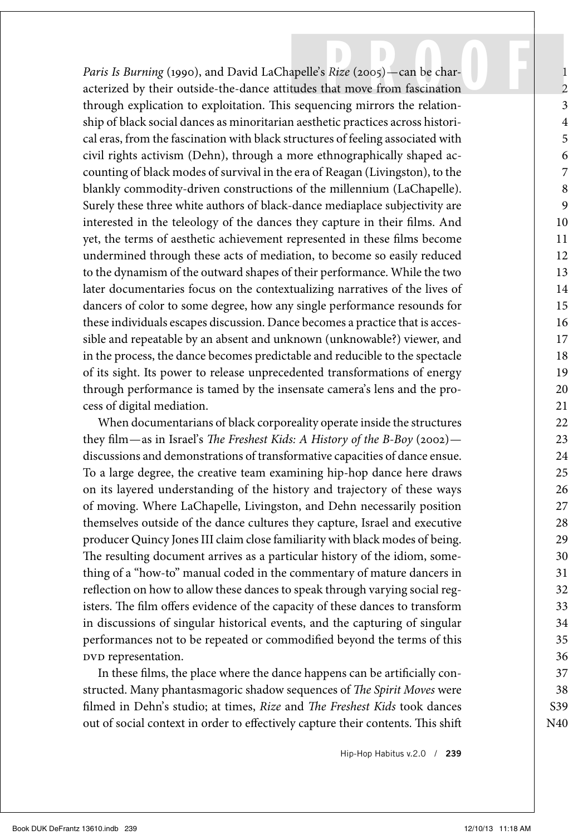*Paris Is Burning* (1990), and David LaChapelle's *Rize* (2005)—can be char-Paris Is Burning (1990), and David LaChapelle's Rize (2005)—can be characterized by their outside-the-dance attitudes that move from fascination through explication to exploitation. This sequencing mirrors the relationship of black social dances as minoritarian aesthetic practices across historical eras, from the fascination with black structures of feeling associated with civil rights activism (Dehn), through a more ethnographically shaped accounting of black modes of survival in the era of Reagan (Livingston), to the blankly commodity- driven constructions of the millennium (LaChapelle). Surely these three white authors of black- dance mediaplace subjectivity are interested in the teleology of the dances they capture in their films. And yet, the terms of aesthetic achievement represented in these films become undermined through these acts of mediation, to become so easily reduced to the dynamism of the outward shapes of their performance. While the two later documentaries focus on the contextualizing narratives of the lives of dancers of color to some degree, how any single performance resounds for these individuals escapes discussion. Dance becomes a practice that is accessible and repeatable by an absent and unknown (unknowable?) viewer, and in the process, the dance becomes predictable and reducible to the spectacle of its sight. Its power to release unprecedented transformations of energy through performance is tamed by the insensate camera's lens and the process of digital mediation.

When documentarians of black corporeality operate inside the structures they film—as in Israel's *The Freshest Kids: A History of the B-Boy* (2002) discussions and demonstrations of transformative capacities of dance ensue. To a large degree, the creative team examining hip- hop dance here draws on its layered understanding of the history and trajectory of these ways of moving. Where LaChapelle, Livingston, and Dehn necessarily position themselves outside of the dance cultures they capture, Israel and executive producer Quincy Jones III claim close familiarity with black modes of being. The resulting document arrives as a particular history of the idiom, something of a "how-to" manual coded in the commentary of mature dancers in reflection on how to allow these dances to speak through varying social registers. The film offers evidence of the capacity of these dances to transform in discussions of singular historical events, and the capturing of singular performances not to be repeated or commodified beyond the terms of this DVD representation.

In these films, the place where the dance happens can be artificially constructed. Many phantasmagoric shadow sequences of *The Spirit Moves* were filmed in Dehn's studio; at times, *Rize* and *The Freshest Kids* took dances out of social context in order to effectively capture their contents. This shift

Hip- Hop Habitus v.2.0 / **239**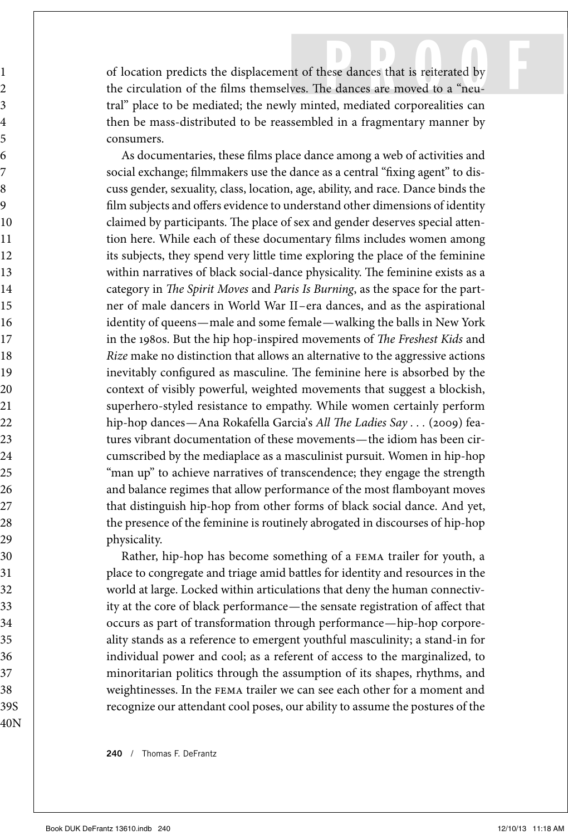of location predicts the displacement of these dances that is reiterated by the circulation of the films themselves. The dances are moved to a "neutral" place to be mediated; the newly minted, mediated corporealities can then be mass- distributed to be reassembled in a fragmentary manner by consumers. nese dances that is reiterated by<br>e dances are moved to a "neu-

As documentaries, these films place dance among a web of activities and social exchange; filmmakers use the dance as a central "fixing agent" to discuss gender, sexuality, class, location, age, ability, and race. Dance binds the film subjects and offers evidence to understand other dimensions of identity claimed by participants. The place of sex and gender deserves special attention here. While each of these documentary films includes women among its subjects, they spend very little time exploring the place of the feminine within narratives of black social-dance physicality. The feminine exists as a category in *The Spirit Moves* and *Paris Is Burning*, as the space for the partner of male dancers in World War II–era dances, and as the aspirational identity of queens—male and some female—walking the balls in New York in the 1980s. But the hip hop-inspired movements of *The Freshest Kids* and *Rize* make no distinction that allows an alternative to the aggressive actions inevitably configured as masculine. The feminine here is absorbed by the context of visibly powerful, weighted movements that suggest a blockish, superhero- styled resistance to empathy. While women certainly perform hip-hop dances—Ana Rokafella Garcia's *All The Ladies Say* . . . (2009) features vibrant documentation of these movements—the idiom has been circumscribed by the mediaplace as a masculinist pursuit. Women in hip-hop "man up" to achieve narratives of transcendence; they engage the strength and balance regimes that allow performance of the most flamboyant moves that distinguish hip-hop from other forms of black social dance. And yet, the presence of the feminine is routinely abrogated in discourses of hip- hop physicality.

Rather, hip-hop has become something of a FEMA trailer for youth, a place to congregate and triage amid battles for identity and resources in the world at large. Locked within articulations that deny the human connectivity at the core of black performance—the sensate registration of affect that occurs as part of transformation through performance—hip-hop corporeality stands as a reference to emergent youthful masculinity; a stand- in for individual power and cool; as a referent of access to the marginalized, to minoritarian politics through the assumption of its shapes, rhythms, and weightinesses. In the fema trailer we can see each other for a moment and recognize our attendant cool poses, our ability to assume the postures of the

**240** / Thomas F. DeFrantz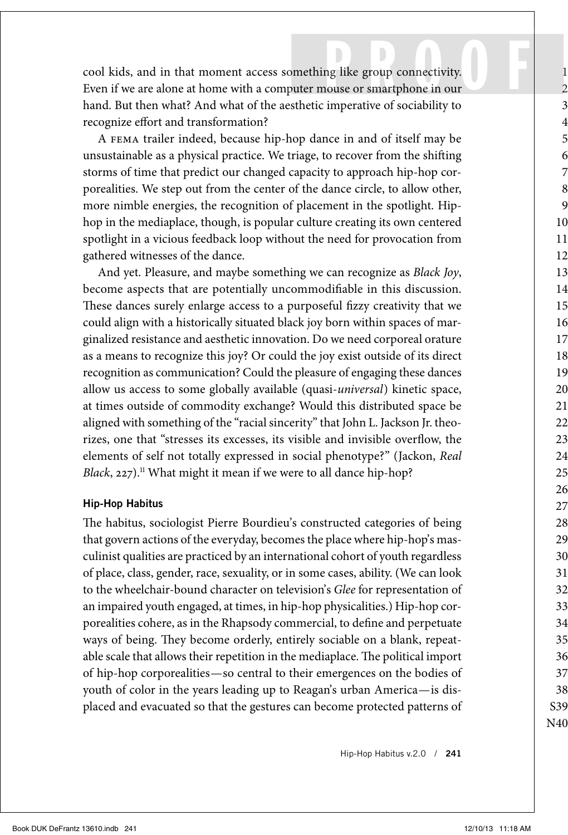cool kids, and in that moment access something like group connectivity. cool kids, and in that moment access something like group connectivity.<br>Even if we are alone at home with a computer mouse or smartphone in our hand. But then what? And what of the aesthetic imperative of sociability to recognize effort and transformation?

A FEMA trailer indeed, because hip-hop dance in and of itself may be unsustainable as a physical practice. We triage, to recover from the shifting storms of time that predict our changed capacity to approach hip-hop corporealities. We step out from the center of the dance circle, to allow other, more nimble energies, the recognition of placement in the spotlight. Hiphop in the mediaplace, though, is popular culture creating its own centered spotlight in a vicious feedback loop without the need for provocation from gathered witnesses of the dance.

And yet. Pleasure, and maybe something we can recognize as *Black Joy*, become aspects that are potentially uncommodifiable in this discussion. These dances surely enlarge access to a purposeful fizzy creativity that we could align with a historically situated black joy born within spaces of marginalized resistance and aesthetic innovation. Do we need corporeal orature as a means to recognize this joy? Or could the joy exist outside of its direct recognition as communication? Could the pleasure of engaging these dances allow us access to some globally available (quasi- *universal*) kinetic space, at times outside of commodity exchange? Would this distributed space be aligned with something of the "racial sincerity" that John L. Jackson Jr. theorizes, one that "stresses its excesses, its visible and invisible overflow, the elements of self not totally expressed in social phenotype?" (Jackon, *Real Black*, 227).<sup>11</sup> What might it mean if we were to all dance hip-hop?

### **Hip- Hop Habitus**

The habitus, sociologist Pierre Bourdieu's constructed categories of being that govern actions of the everyday, becomes the place where hip-hop's masculinist qualities are practiced by an international cohort of youth regardless of place, class, gender, race, sexuality, or in some cases, ability. (We can look to the wheelchair- bound character on television's *Glee* for representation of an impaired youth engaged, at times, in hip-hop physicalities.) Hip-hop corporealities cohere, as in the Rhapsody commercial, to define and perpetuate ways of being. They become orderly, entirely sociable on a blank, repeatable scale that allows their repetition in the mediaplace. The political import of hip- hop corporealities—so central to their emergences on the bodies of youth of color in the years leading up to Reagan's urban America—is displaced and evacuated so that the gestures can become protected patterns of

Hip- Hop Habitus v.2.0 / **241**

N40